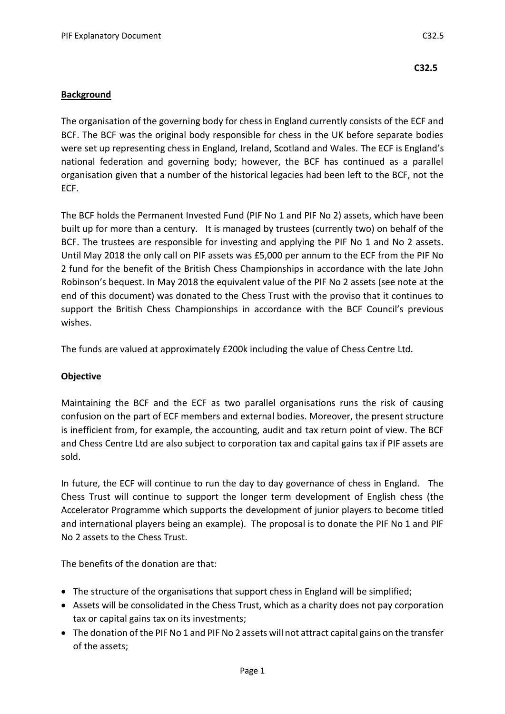## **Background**

The organisation of the governing body for chess in England currently consists of the ECF and BCF. The BCF was the original body responsible for chess in the UK before separate bodies were set up representing chess in England, Ireland, Scotland and Wales. The ECF is England's national federation and governing body; however, the BCF has continued as a parallel organisation given that a number of the historical legacies had been left to the BCF, not the ECF.

The BCF holds the Permanent Invested Fund (PIF No 1 and PIF No 2) assets, which have been built up for more than a century. It is managed by trustees (currently two) on behalf of the BCF. The trustees are responsible for investing and applying the PIF No 1 and No 2 assets. Until May 2018 the only call on PIF assets was £5,000 per annum to the ECF from the PIF No 2 fund for the benefit of the British Chess Championships in accordance with the late John Robinson's bequest. In May 2018 the equivalent value of the PIF No 2 assets (see note at the end of this document) was donated to the Chess Trust with the proviso that it continues to support the British Chess Championships in accordance with the BCF Council's previous wishes.

The funds are valued at approximately £200k including the value of Chess Centre Ltd.

## **Objective**

Maintaining the BCF and the ECF as two parallel organisations runs the risk of causing confusion on the part of ECF members and external bodies. Moreover, the present structure is inefficient from, for example, the accounting, audit and tax return point of view. The BCF and Chess Centre Ltd are also subject to corporation tax and capital gains tax if PIF assets are sold.

In future, the ECF will continue to run the day to day governance of chess in England. The Chess Trust will continue to support the longer term development of English chess (the Accelerator Programme which supports the development of junior players to become titled and international players being an example). The proposal is to donate the PIF No 1 and PIF No 2 assets to the Chess Trust.

The benefits of the donation are that:

- The structure of the organisations that support chess in England will be simplified;
- Assets will be consolidated in the Chess Trust, which as a charity does not pay corporation tax or capital gains tax on its investments;
- The donation of the PIF No 1 and PIF No 2 assets will not attract capital gains on the transfer of the assets;